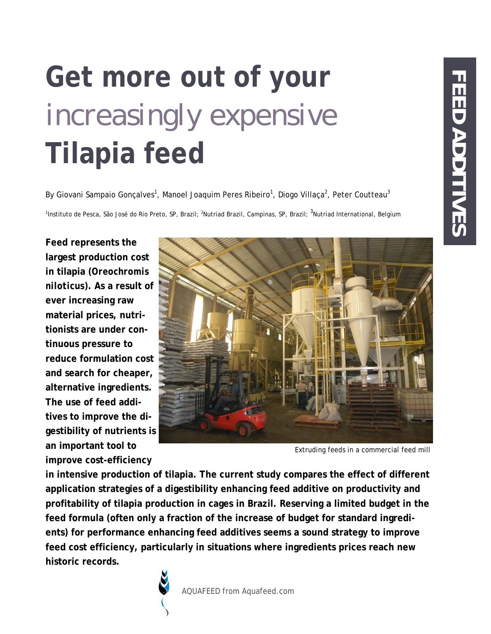# **Get more out of your**  *increasingly expensive*  **Tilapia feed**

By Giovani Sampaio Gonçalves<sup>1</sup>, Manoel Joaquim Peres Ribeiro<sup>1</sup>, Diogo Villaça<sup>2</sup>, Peter Coutteau<sup>3</sup>

<sup>1</sup>Instituto de Pesca, São José do Rio Preto, SP, Brazil; <sup>2</sup>Nutriad Brazil, Campinas, SP, Brazil; <sup>3</sup>Nutriad International, Belgium

**Feed represents the largest production cost in tilapia (***Oreochromis niloticus***). As a result of ever increasing raw material prices, nutritionists are under continuous pressure to reduce formulation cost and search for cheaper, alternative ingredients. The use of feed additives to improve the digestibility of nutrients is an important tool to improve cost-efficiency** 



Extruding feeds in a commercial feed mill

**in intensive production of tilapia. The current study compares the effect of different application strategies of a digestibility enhancing feed additive on productivity and profitability of tilapia production in cages in Brazil. Reserving a limited budget in the feed formula (often only a fraction of the increase of budget for standard ingredients) for performance enhancing feed additives seems a sound strategy to improve feed cost efficiency, particularly in situations where ingredients prices reach new historic records.**

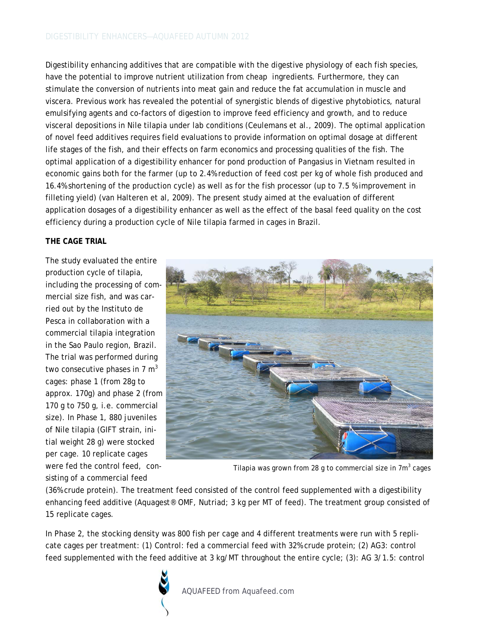Digestibility enhancing additives that are compatible with the digestive physiology of each fish species, have the potential to improve nutrient utilization from cheap ingredients. Furthermore, they can stimulate the conversion of nutrients into meat gain and reduce the fat accumulation in muscle and viscera. Previous work has revealed the potential of synergistic blends of digestive phytobiotics, natural emulsifying agents and co-factors of digestion to improve feed efficiency and growth, and to reduce visceral depositions in Nile tilapia under lab conditions (Ceulemans et al., 2009). The optimal application of novel feed additives requires field evaluations to provide information on optimal dosage at different life stages of the fish, and their effects on farm economics and processing qualities of the fish. The optimal application of a digestibility enhancer for pond production of Pangasius in Vietnam resulted in economic gains both for the farmer (up to 2.4% reduction of feed cost per kg of whole fish produced and 16.4% shortening of the production cycle) as well as for the fish processor (up to 7.5 % improvement in filleting yield) (van Halteren et al, 2009). The present study aimed at the evaluation of different application dosages of a digestibility enhancer as well as the effect of the basal feed quality on the cost efficiency during a production cycle of Nile tilapia farmed in cages in Brazil.

### **THE CAGE TRIAL**

The study evaluated the entire production cycle of tilapia, including the processing of commercial size fish, and was carried out by the Instituto de Pesca in collaboration with a commercial tilapia integration in the Sao Paulo region, Brazil. The trial was performed during two consecutive phases in  $7 \text{ m}^3$ cages: phase 1 (from 28g to approx. 170g) and phase 2 (from 170 g to 750 g, i.e. commercial size). In Phase 1, 880 juveniles of Nile tilapia (GIFT strain, initial weight 28 g) were stocked per cage. 10 replicate cages were fed the control feed, consisting of a commercial feed



Tilapia was grown from 28 g to commercial size in  $7\text{m}^3$  cages

(36% crude protein). The treatment feed consisted of the control feed supplemented with a digestibility enhancing feed additive (Aquagest® OMF, Nutriad; 3 kg per MT of feed). The treatment group consisted of 15 replicate cages.

In Phase 2, the stocking density was 800 fish per cage and 4 different treatments were run with 5 replicate cages per treatment: (1) Control: fed a commercial feed with 32% crude protein; (2) AG3: control feed supplemented with the feed additive at 3 kg/MT throughout the entire cycle; (3): AG 3/1.5: control

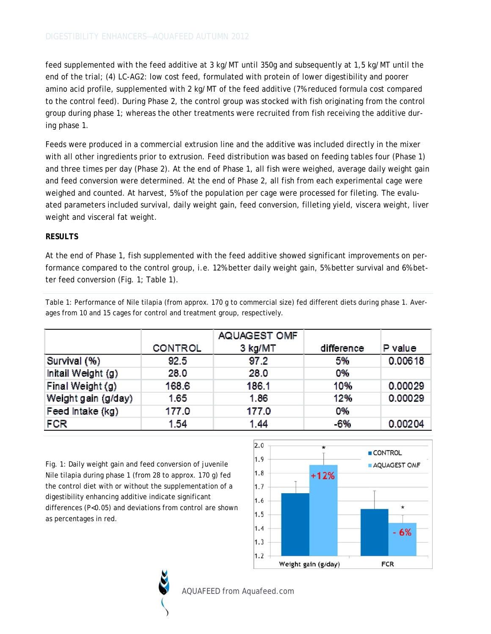feed supplemented with the feed additive at 3 kg/MT until 350g and subsequently at 1,5 kg/MT until the end of the trial; (4) LC-AG2: low cost feed, formulated with protein of lower digestibility and poorer amino acid profile, supplemented with 2 kg/MT of the feed additive (7% reduced formula cost compared to the control feed). During Phase 2, the control group was stocked with fish originating from the control group during phase 1; whereas the other treatments were recruited from fish receiving the additive during phase 1.

Feeds were produced in a commercial extrusion line and the additive was included directly in the mixer with all other ingredients prior to extrusion. Feed distribution was based on feeding tables four (Phase 1) and three times per day (Phase 2). At the end of Phase 1, all fish were weighed, average daily weight gain and feed conversion were determined. At the end of Phase 2, all fish from each experimental cage were weighed and counted. At harvest, 5% of the population per cage were processed for fileting. The evaluated parameters included survival, daily weight gain, feed conversion, filleting yield, viscera weight, liver weight and visceral fat weight.

### **RESULTS**

At the end of Phase 1, fish supplemented with the feed additive showed significant improvements on performance compared to the control group, i.e. 12% better daily weight gain, 5% better survival and 6% better feed conversion (Fig. 1; Table 1).

Table 1: Performance of Nile tilapia (from approx. 170 g to commercial size) fed different diets during phase 1. Averages from 10 and 15 cages for control and treatment group, respectively.

|                     |                | AQUAGEST OMF |            |         |
|---------------------|----------------|--------------|------------|---------|
|                     | <b>CONTROL</b> | 3 kg/MT      | difference | P value |
| Survival (%)        | 92.5           | 97.2         | 5%         | 0.00618 |
| Initail Weight (g)  | 28.0           | 28.0         | 0%         |         |
| Final Weight (g)    | 168.6          | 186.1        | 10%        | 0.00029 |
| Weight gain (g/day) | 1.65           | 1.86         | 12%        | 0.00029 |
| Feed Intake (kg)    | 177.0          | 177.0        | 0%         |         |
| FCR                 | 1.54           | 1.44         | -6%        | 0.00204 |

Fig. 1: Daily weight gain and feed conversion of juvenile Nile tilapia during phase 1 (from 28 to approx. 170 g) fed the control diet with or without the supplementation of a digestibility enhancing additive indicate significant differences (P<0.05) and deviations from control are shown as percentages in red.





AQUAFEED from Aquafeed.com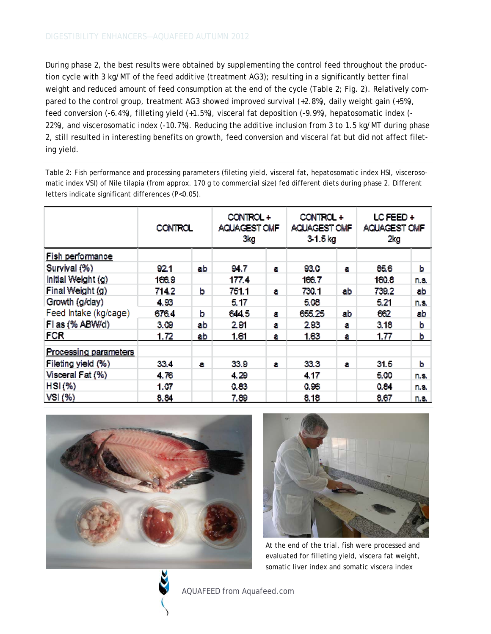During phase 2, the best results were obtained by supplementing the control feed throughout the production cycle with 3 kg/MT of the feed additive (treatment AG3); resulting in a significantly better final weight and reduced amount of feed consumption at the end of the cycle (Table 2; Fig. 2). Relatively compared to the control group, treatment AG3 showed improved survival (+2.8%), daily weight gain (+5%), feed conversion (-6.4%), filleting yield (+1.5%), visceral fat deposition (-9.9%), hepatosomatic index (- 22%), and viscerosomatic index (-10.7%). Reducing the additive inclusion from 3 to 1.5 kg/MT during phase 2, still resulted in interesting benefits on growth, feed conversion and visceral fat but did not affect fileting yield.

Table 2: Fish performance and processing parameters (fileting yield, visceral fat, hepatosomatic index HSI, viscerosomatic index VSI) of Nile tilapia (from approx. 170 g to commercial size) fed different diets during phase 2. Different letters indicate significant differences (P<0.05).

|                              | <b>CONTROL</b> |    | CONTROL +<br>AQUAGEST OMF<br>3kg |    | CONTROL +<br>AQUAGEST OMF<br>31.5 <sub>kg</sub> |    | LCFEED+<br>AQUAGEST OMF<br>2kg |             |
|------------------------------|----------------|----|----------------------------------|----|-------------------------------------------------|----|--------------------------------|-------------|
| Fish performance             |                |    |                                  |    |                                                 |    |                                |             |
| Survival (%)                 | 921            | ab | 94.7                             | a  | 93.0                                            | а  | 85.6                           | b           |
| Initial Weight (g)           | 166.9          |    | 177.4                            |    | 166.7                                           |    | 160.8                          | n.s.        |
| Final Weight (g)             | 714.2          | b  | 751.1                            | а  | 730.1                                           | ab | 739.2                          | ab          |
| Growth (g/day)               | 4,93           |    | 5.17                             |    | 5.08                                            |    | 5.21                           | n.s.        |
| Feed Intake (kg/cage)        | 6764           | b  | 644.5                            | а  | 855.25                                          | ab | 862                            | ab          |
| Flas (% ABW/d)               | 3.09           | ab | 291                              | a  | 293                                             | a  | 3.18                           | b           |
| FCR                          | 1.72           | ab | 1.61                             | а  | 1.63                                            | а  | 1.77                           | b           |
| <b>Processing parameters</b> |                |    |                                  |    |                                                 |    |                                |             |
| Fileting yield (%)           | 33.4           | а  | 33.9                             | 81 | 33.3                                            | а  | 31.5                           | b           |
| Visceral Fat (%)             | 4.76           |    | 4.29                             |    | 4.17                                            |    | 5.00                           | n.s.        |
| $HSI$ (%)                    | 1,07           |    | 0.83                             |    | 0.96                                            |    | 0.84                           | n.s.        |
| $VSI(W_0)$                   | 8.84           |    | 7.89                             |    | 8,18                                            |    | 8,67                           | <u>n.s.</u> |





At the end of the trial, fish were processed and evaluated for filleting yield, viscera fat weight, somatic liver index and somatic viscera index



AQUAFEED from Aquafeed.com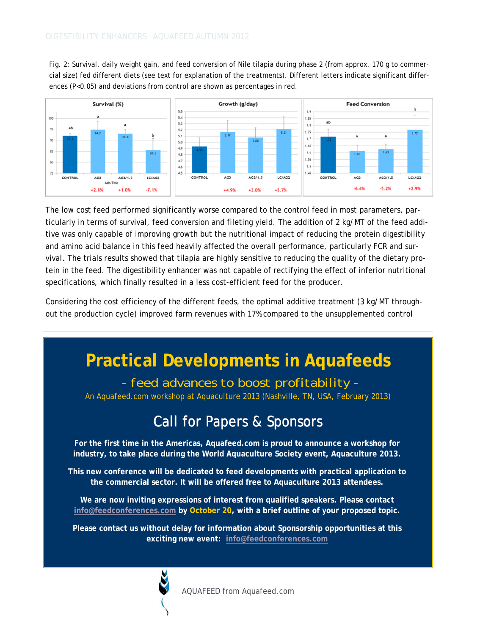Fig. 2: Survival, daily weight gain, and feed conversion of Nile tilapia during phase 2 (from approx. 170 g to commercial size) fed different diets (see text for explanation of the treatments). Different letters indicate significant differences (P<0.05) and deviations from control are shown as percentages in red.



The low cost feed performed significantly worse compared to the control feed in most parameters, particularly in terms of survival, feed conversion and fileting yield. The addition of 2 kg/MT of the feed additive was only capable of improving growth but the nutritional impact of reducing the protein digestibility and amino acid balance in this feed heavily affected the overall performance, particularly FCR and survival. The trials results showed that tilapia are highly sensitive to reducing the quality of the dietary protein in the feed. The digestibility enhancer was not capable of rectifying the effect of inferior nutritional specifications, which finally resulted in a less cost-efficient feed for the producer.

Considering the cost efficiency of the different feeds, the optimal additive treatment (3 kg/MT throughout the production cycle) improved farm revenues with 17% compared to the unsupplemented control

# **Practical Developments in Aquafeeds**

 *- feed advances to boost profitability -* 

An Aquafeed.com workshop at Aquaculture 2013 (Nashville, TN, USA, February 2013)

## Call for Papers & Sponsors

**For the first time in the Americas, Aquafeed.com is proud to announce a workshop for industry, to take place during the World Aquaculture Society event, Aquaculture 2013.** 

**This new conference will be dedicated to feed developments with practical application to the commercial sector. It will be offered free to Aquaculture 2013 attendees.** 

**We are now inviting expressions of interest from qualified speakers. Please contact [info@feedconferences.com b](mailto:info@feedconferences.com)y October 20, with a brief outline of your proposed topic.** 

**Please contact us without delay for information about Sponsorship opportunities at this exciting new event[: info@feedconferences.com](mailto:info@feedconferences.com)** 



AQUAFEED from Aquafeed.com